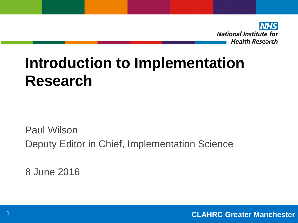

## **Introduction to Implementation Research**

Paul Wilson Deputy Editor in Chief, Implementation Science

8 June 2016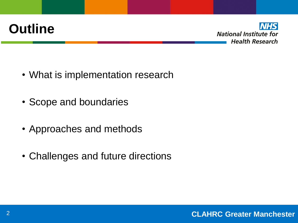## **Outline**



- What is implementation research
- Scope and boundaries
- Approaches and methods
- Challenges and future directions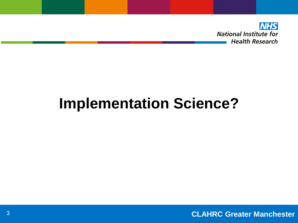

# **Implementation Science?**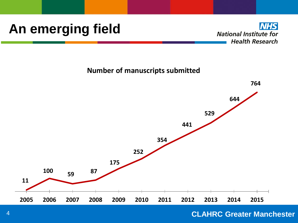### **An emerging field**

**NHS National Institute for Health Research** 

**Number of manuscripts submitted**



### **CLAHRC Greater Manchester**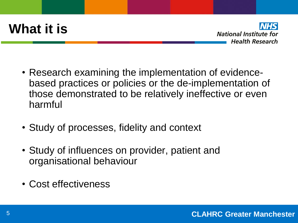## **What it is**



- Research examining the implementation of evidencebased practices or policies or the de-implementation of those demonstrated to be relatively ineffective or even harmful
- Study of processes, fidelity and context
- Study of influences on provider, patient and organisational behaviour
- Cost effectiveness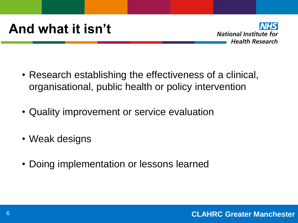

- Research establishing the effectiveness of a clinical, organisational, public health or policy intervention
- Quality improvement or service evaluation
- Weak designs
- Doing implementation or lessons learned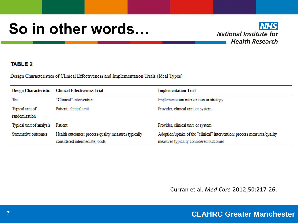## **So in other words…**



#### **TABLE 2**

Design Characteristics of Clinical Effectiveness and Implementation Trials (Ideal Types)

| <b>Design Characteristic</b>     | <b>Clinical Effectiveness Trial</b>                                                   | <b>Implementation Trial</b>                                                                                        |
|----------------------------------|---------------------------------------------------------------------------------------|--------------------------------------------------------------------------------------------------------------------|
| Test                             | "Clinical" intervention                                                               | Implementation intervention or strategy                                                                            |
| Typical unit of<br>randomization | Patient, clinical unit                                                                | Provider, clinical unit, or system                                                                                 |
| Typical unit of analysis         | Patient                                                                               | Provider, clinical unit, or system                                                                                 |
| Summative outcomes               | Health outcomes; process/quality measures typically<br>considered intermediate; costs | Adoption/uptake of the "clinical" intervention; process measures/quality<br>measures typically considered outcomes |

Curran et al. Med Care 2012;50:217-26.

### **CLAHRC Greater Manchester** 7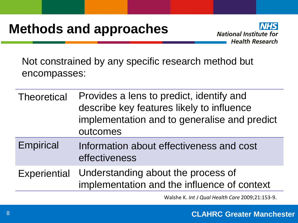## **Methods and approaches**



Not constrained by any specific research method but encompasses:

- Theoretical Provides a lens to predict, identify and describe key features likely to influence implementation and to generalise and predict outcomes
- Empirical Information about effectiveness and cost effectiveness
- Experiential Understanding about the process of implementation and the influence of context

Walshe K. *Int J Qual Health Care* 2009;21:153-9.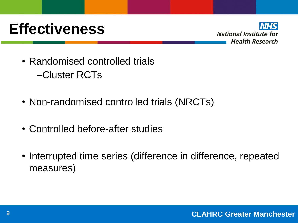## **Effectiveness**



- Randomised controlled trials –Cluster RCTs
- Non-randomised controlled trials (NRCTs)
- Controlled before-after studies
- Interrupted time series (difference in difference, repeated measures)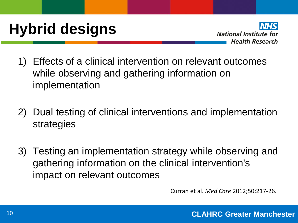# **Hybrid designs**



- 1) Effects of a clinical intervention on relevant outcomes while observing and gathering information on implementation
- 2) Dual testing of clinical interventions and implementation strategies
- 3) Testing an implementation strategy while observing and gathering information on the clinical intervention's impact on relevant outcomes

Curran et al. *Med Care* 2012;50:217-26.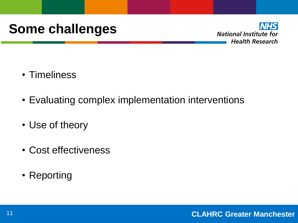## **Some challenges**



- Timeliness
- Evaluating complex implementation interventions
- Use of theory
- Cost effectiveness
- Reporting